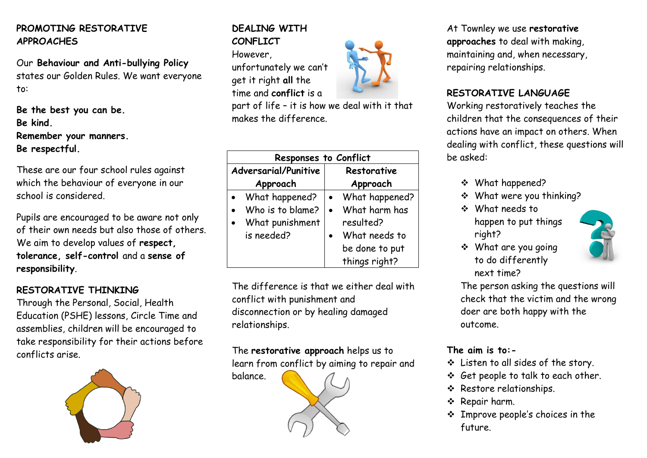## **PROMOTING RESTORATIVE APPROACHES**

Our **Behaviour and Anti-bullying Policy** states our Golden Rules. We want everyone to:

**Be the best you can be. Be kind. Remember your manners. Be respectful.**

These are our four school rules against which the behaviour of everyone in our school is considered.

Pupils are encouraged to be aware not only of their own needs but also those of others. We aim to develop values of **respect, tolerance, self-control** and a **sense of responsibility**.

### **RESTORATIVE THINKING**

Through the Personal, Social, Health Education (PSHE) lessons, Circle Time and assemblies, children will be encouraged to take responsibility for their actions before conflicts arise.



#### **DEALING WITH CONFLICT**

However,

unfortunately we can't get it right **all** the time and **conflict** is a

part of life – it is how we deal with it that makes the difference.

| <b>Responses to Conflict</b> |                  |  |                |
|------------------------------|------------------|--|----------------|
| <b>Adversarial/Punitive</b>  |                  |  | Restorative    |
|                              | Approach         |  | Approach       |
|                              | What happened?   |  | What happened? |
|                              | Who is to blame? |  | What harm has  |
|                              | What punishment  |  | resulted?      |
|                              | is needed?       |  | What needs to  |
|                              |                  |  | be done to put |
|                              |                  |  | things right?  |

The difference is that we either deal with conflict with punishment and disconnection or by healing damaged relationships.

The **restorative approach** helps us to

learn from conflict by aiming to repair and

balance.



At Townley we use **restorative approaches** to deal with making, maintaining and, when necessary, repairing relationships.

#### **RESTORATIVE LANGUAGE**

Working restoratively teaches the children that the consequences of their actions have an impact on others. When dealing with conflict, these questions will be asked:

- What happened?
- What were you thinking?
- What needs to happen to put things right?



 What are you going to do differently next time?

The person asking the questions will check that the victim and the wrong doer are both happy with the outcome.

# **The aim is to:-**

- Listen to all sides of the story.
- Get people to talk to each other.
- Restore relationships.
- \* Repair harm.
- Improve people's choices in the future.